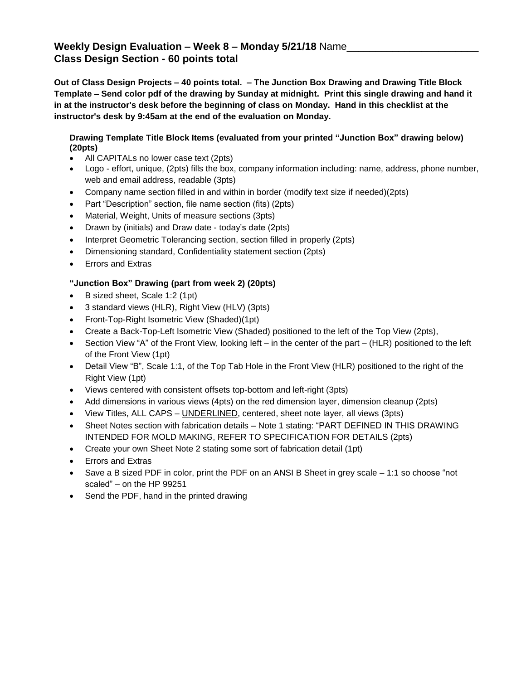## **Weekly Design Evaluation – Week 8 – Monday 5/21/18** Name\_\_\_\_\_\_\_\_\_\_\_\_\_\_\_\_\_\_\_\_\_\_\_ **Class Design Section - 60 points total**

**Out of Class Design Projects – 40 points total. – The Junction Box Drawing and Drawing Title Block Template – Send color pdf of the drawing by Sunday at midnight. Print this single drawing and hand it in at the instructor's desk before the beginning of class on Monday. Hand in this checklist at the instructor's desk by 9:45am at the end of the evaluation on Monday.**

## **Drawing Template Title Block Items (evaluated from your printed "Junction Box" drawing below) (20pts)**

- All CAPITALs no lower case text (2pts)
- Logo effort, unique, (2pts) fills the box, company information including: name, address, phone number, web and email address, readable (3pts)
- Company name section filled in and within in border (modify text size if needed)(2pts)
- Part "Description" section, file name section (fits) (2pts)
- Material, Weight, Units of measure sections (3pts)
- Drawn by (initials) and Draw date today's date (2pts)
- Interpret Geometric Tolerancing section, section filled in properly (2pts)
- Dimensioning standard, Confidentiality statement section (2pts)
- Errors and Extras

## **"Junction Box" Drawing (part from week 2) (20pts)**

- B sized sheet, Scale 1:2 (1pt)
- 3 standard views (HLR), Right View (HLV) (3pts)
- Front-Top-Right Isometric View (Shaded)(1pt)
- Create a Back-Top-Left Isometric View (Shaded) positioned to the left of the Top View (2pts),
- Section View "A" of the Front View, looking left in the center of the part (HLR) positioned to the left of the Front View (1pt)
- Detail View "B", Scale 1:1, of the Top Tab Hole in the Front View (HLR) positioned to the right of the Right View (1pt)
- Views centered with consistent offsets top-bottom and left-right (3pts)
- Add dimensions in various views (4pts) on the red dimension layer, dimension cleanup (2pts)
- View Titles, ALL CAPS UNDERLINED, centered, sheet note layer, all views (3pts)
- Sheet Notes section with fabrication details Note 1 stating: "PART DEFINED IN THIS DRAWING INTENDED FOR MOLD MAKING, REFER TO SPECIFICATION FOR DETAILS (2pts)
- Create your own Sheet Note 2 stating some sort of fabrication detail (1pt)
- Errors and Extras
- Save a B sized PDF in color, print the PDF on an ANSI B Sheet in grey scale 1:1 so choose "not scaled" – on the HP 99251
- Send the PDF, hand in the printed drawing